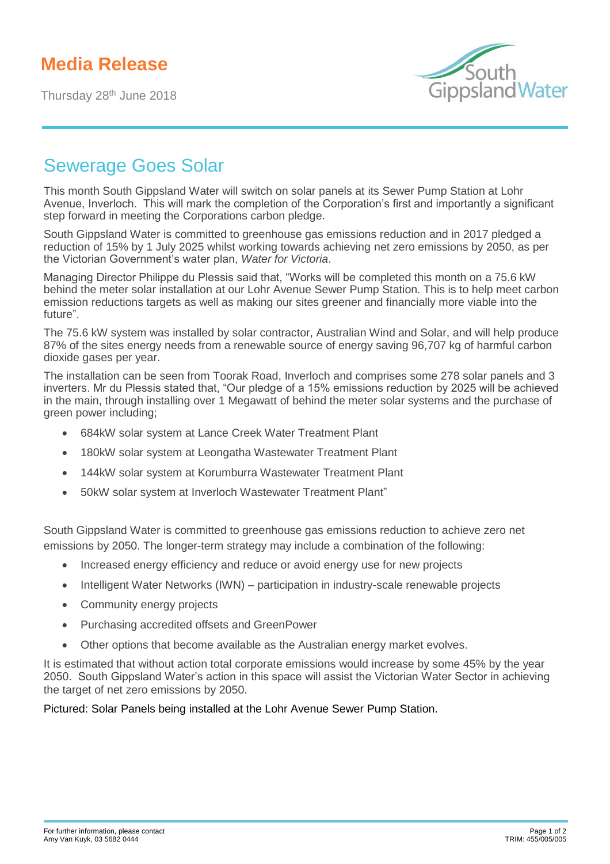## **Media Release**

Thursday 28<sup>th</sup> June 2018



## Sewerage Goes Solar

This month South Gippsland Water will switch on solar panels at its Sewer Pump Station at Lohr Avenue, Inverloch. This will mark the completion of the Corporation's first and importantly a significant step forward in meeting the Corporations carbon pledge.

South Gippsland Water is committed to greenhouse gas emissions reduction and in 2017 pledged a reduction of 15% by 1 July 2025 whilst working towards achieving net zero emissions by 2050, as per the Victorian Government's water plan, *Water for Victoria*.

Managing Director Philippe du Plessis said that, "Works will be completed this month on a 75.6 kW behind the meter solar installation at our Lohr Avenue Sewer Pump Station. This is to help meet carbon emission reductions targets as well as making our sites greener and financially more viable into the future".

The 75.6 kW system was installed by solar contractor, Australian Wind and Solar, and will help produce 87% of the sites energy needs from a renewable source of energy saving 96,707 kg of harmful carbon dioxide gases per year.

The installation can be seen from Toorak Road, Inverloch and comprises some 278 solar panels and 3 inverters. Mr du Plessis stated that, "Our pledge of a 15% emissions reduction by 2025 will be achieved in the main, through installing over 1 Megawatt of behind the meter solar systems and the purchase of green power including;

- 684kW solar system at Lance Creek Water Treatment Plant
- 180kW solar system at Leongatha Wastewater Treatment Plant
- 144kW solar system at Korumburra Wastewater Treatment Plant
- 50kW solar system at Inverloch Wastewater Treatment Plant"

South Gippsland Water is committed to greenhouse gas emissions reduction to achieve zero net emissions by 2050. The longer-term strategy may include a combination of the following:

- Increased energy efficiency and reduce or avoid energy use for new projects
- Intelligent Water Networks (IWN) participation in industry-scale renewable projects
- Community energy projects
- Purchasing accredited offsets and GreenPower
- Other options that become available as the Australian energy market evolves.

It is estimated that without action total corporate emissions would increase by some 45% by the year 2050. South Gippsland Water's action in this space will assist the Victorian Water Sector in achieving the target of net zero emissions by 2050.

Pictured: Solar Panels being installed at the Lohr Avenue Sewer Pump Station.